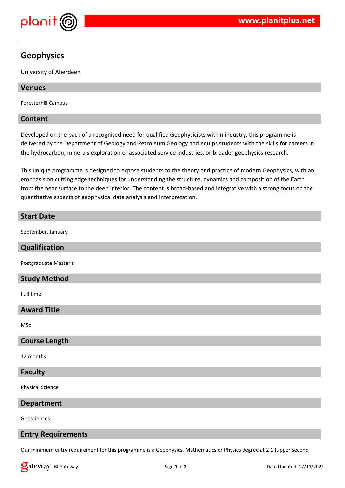

# **Geophysics**

University of Aberdeen

# **Venues**

Foresterhill Campus

## **Content**

Developed on the back of a recognised need for qualified Geophysicists within industry, this programme is delivered by the Department of Geology and Petroleum Geology and equips students with the skills for careers in the hydrocarbon, minerals exploration or associated service industries, or broader geophysics research.

This unique programme is designed to expose students to the theory and practice of modern Geophysics, with an emphasis on cutting edge techniques for understanding the structure, dynamics and composition of the Earth from the near surface to the deep interior. The content is broad-based and integrative with a strong focus on the quantitative aspects of geophysical data analysis and interpretation.

# **Start Date**

September, January

## **Qualification**

Postgraduate Master's

# **Study Method**

Full time

# **Award Title**

MSc

## **Course Length**

12 months

## **Faculty**

Physical Science

**Department**

Geosciences

## **Entry Requirements**

Our minimum entry requirement for this programme is a Geophysics, Mathematics or Physics degree at 2:1 (upper second